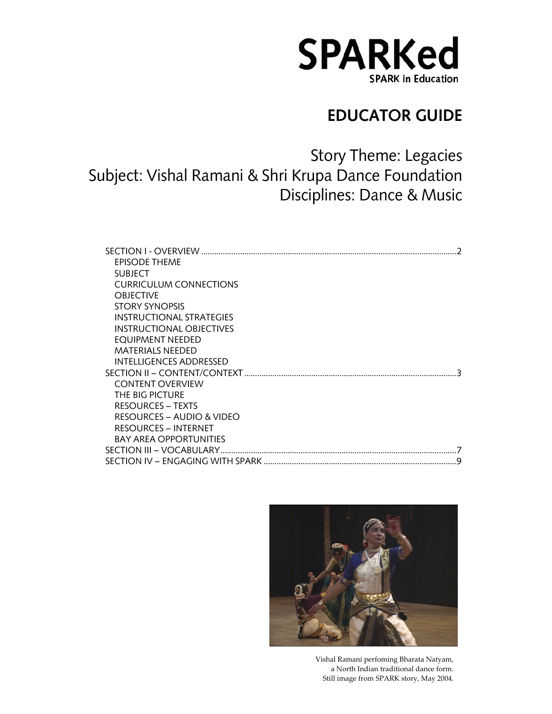

## **EDUCATOR GUIDE**

## Story Theme: Legacies Subject: Vishal Ramani & Shri Krupa Dance Foundation Disciplines: Dance & Music

| EPISODE THEME                   |
|---------------------------------|
| <b>SUBJECT</b>                  |
| <b>CURRICULUM CONNECTIONS</b>   |
| <b>OBJECTIVE</b>                |
| STORY SYNOPSIS                  |
| INSTRUCTIONAL STRATEGIES        |
| <b>INSTRUCTIONAL OBJECTIVES</b> |
| EQUIPMENT NEEDED                |
| <b>MATERIALS NEEDED</b>         |
| INTELLIGENCES ADDRESSED         |
|                                 |
| <b>CONTENT OVERVIEW</b>         |
| THE BIG PICTURE                 |
| <b>RESOURCES – TEXTS</b>        |
| RESOURCES – AUDIO & VIDEO       |
| RESOURCES - INTERNET            |
| <b>BAY AREA OPPORTUNITIES</b>   |
|                                 |
| 9                               |



Vishal Ramani perfoming Bharata Natyam, a North Indian traditional dance form. Still image from SPARK story, May 2004.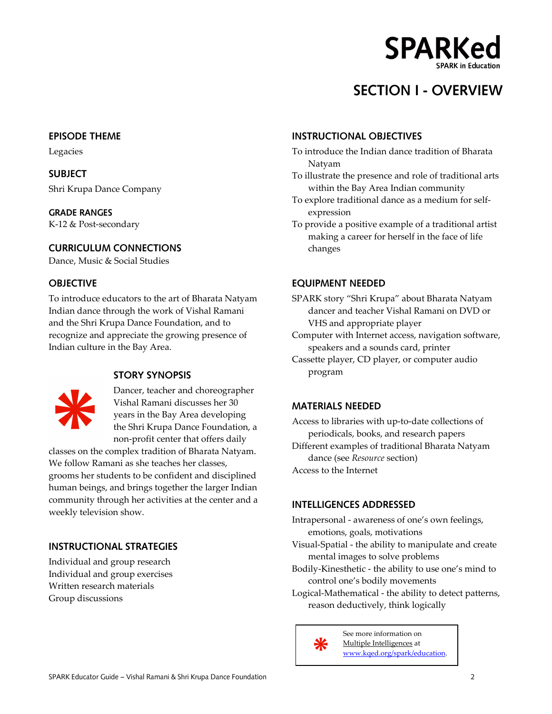

## **SECTION I - OVERVIEW**

**GRADE RANGES** expression K-12 & Post-secondary

**CURRICULUM CONNECTIONS**

Dance, Music & Social Studies

To introduce educators to the art of Bharata Natyam Indian dance through the work of Vishal Ramani and the Shri Krupa Dance Foundation, and to recognize and appreciate the growing presence of Indian culture in the Bay Area.



## **STORY SYNOPSIS Program**

Dancer, teacher and choreographer Vishal Ramani discusses her 30 years in the Bay Area developing the Shri Krupa Dance Foundation, a non-profit center that offers daily

classes on the complex tradition of Bharata Natyam. We follow Ramani as she teaches her classes, grooms her students to be confident and disciplined human beings, and brings together the larger Indian community through her activities at the center and a weekly television show.

## **INSTRUCTIONAL STRATEGIES**

Individual and group research Bodily-Kinesthetic - the ability to use one's mind to<br>Individual and group suggises Individual and group exercises Written research materials

## <span id="page-1-0"></span>**EPISODE THEME INSTRUCTIONAL OBJECTIVES**

- Legacies To introduce the Indian dance tradition of Bharata Natyam
- **SUBJECT** To illustrate the presence and role of traditional arts Shri Krupa Dance Company **Shri Krupa Dance Company Krupa Dance Company Krupa Dance Company Krupa Dance Company Krupa Dance Company Krupa Dance Company Krupa Dance Company Krupa Dance Company Krupa Dance Com** 
	- To explore traditional dance as a medium for self-
	- To provide a positive example of a traditional artist making a career for herself in the face of life changes

## **OBJECTIVE EQUIPMENT NEEDED**

SPARK story "Shri Krupa" about Bharata Natyam dancer and teacher Vishal Ramani on DVD or VHS and appropriate player

Computer with Internet access, navigation software, speakers and a sounds card, printer

Cassette player, CD player, or computer audio

## **MATERIALS NEEDED**

Access to libraries with up-to-date collections of periodicals, books, and research papers Different examples of traditional Bharata Natyam

dance (see *Resource* section) Access to the Internet

## **INTELLIGENCES ADDRESSED**

Intrapersonal - awareness of one's own feelings, emotions, goals, motivations

- Visual-Spatial the ability to manipulate and create mental images to solve problems
- control one's bodily movements
- Logical-Mathematical the ability to detect patterns, Group discussions and the computation of the computation of the computation of the computation of the computation of the computation of the computation of the computation of the computation of the computation of the comput

See more information on <u>Multiple Intelligences</u> at [www.kqed.org/spark/education](http://www.kqed.org/spark/education).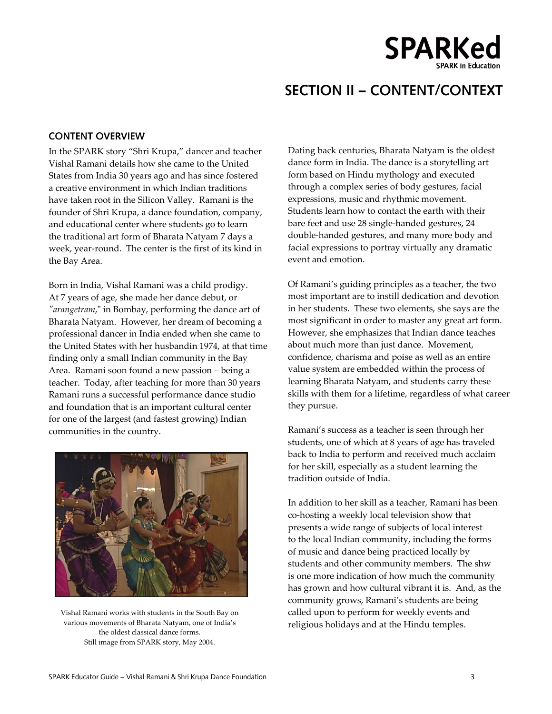# **SPARKed**

## **SECTION II – CONTENT/CONTEXT**

## <span id="page-2-0"></span>**CONTENT OVERVIEW**

In the SPARK story "Shri Krupa," dancer and teacher Vishal Ramani details how she came to the United States from India 30 years ago and has since fostered a creative environment in which Indian traditions have taken root in the Silicon Valley. Ramani is the founder of Shri Krupa, a dance foundation, company, and educational center where students go to learn the traditional art form of Bharata Natyam 7 days a week, year-round. The center is the first of its kind in the Bay Area.

Born in India, Vishal Ramani was a child prodigy. At 7 years of age, she made her dance debut, or *"arangetram*," in Bombay, performing the dance art of Bharata Natyam. However, her dream of becoming a professional dancer in India ended when she came to the United States with her husbandin 1974, at that time finding only a small Indian community in the Bay Area. Ramani soon found a new passion – being a teacher. Today, after teaching for more than 30 years Ramani runs a successful performance dance studio and foundation that is an important cultural center for one of the largest (and fastest growing) Indian communities in the country.



Vishal Ramani works with students in the South Bay on various movements of Bharata Natyam, one of India's the oldest classical dance forms. Still image from SPARK story, May 2004.

Dating back centuries, Bharata Natyam is the oldest dance form in India. The dance is a storytelling art form based on Hindu mythology and executed through a complex series of body gestures, facial expressions, music and rhythmic movement. Students learn how to contact the earth with their bare feet and use 28 single-handed gestures, 24 double-handed gestures, and many more body and facial expressions to portray virtually any dramatic event and emotion.

Of Ramani's guiding principles as a teacher, the two most important are to instill dedication and devotion in her students. These two elements, she says are the most significant in order to master any great art form. However, she emphasizes that Indian dance teaches about much more than just dance. Movement, confidence, charisma and poise as well as an entire value system are embedded within the process of learning Bharata Natyam, and students carry these skills with them for a lifetime, regardless of what career they pursue.

Ramani's success as a teacher is seen through her students, one of which at 8 years of age has traveled back to India to perform and received much acclaim for her skill, especially as a student learning the tradition outside of India.

In addition to her skill as a teacher, Ramani has been co-hosting a weekly local television show that presents a wide range of subjects of local interest to the local Indian community, including the forms of music and dance being practiced locally by students and other community members. The shw is one more indication of how much the community has grown and how cultural vibrant it is. And, as the community grows, Ramani's students are being called upon to perform for weekly events and religious holidays and at the Hindu temples.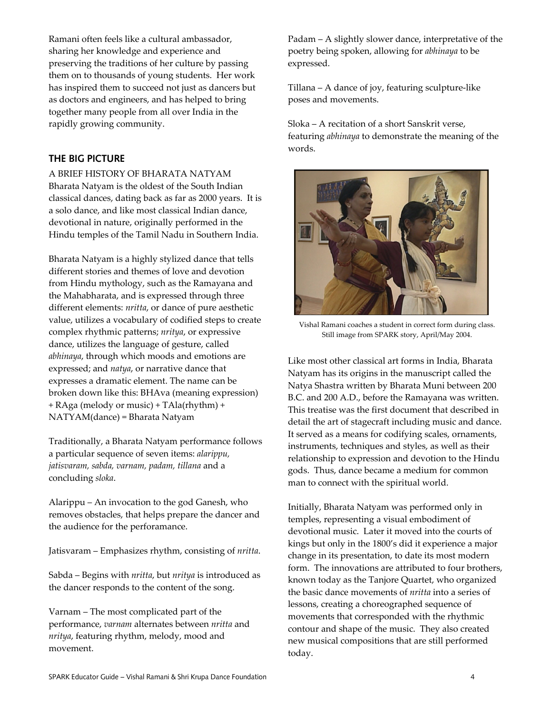Ramani often feels like a cultural ambassador, sharing her knowledge and experience and preserving the traditions of her culture by passing them on to thousands of young students. Her work has inspired them to succeed not just as dancers but as doctors and engineers, and has helped to bring together many people from all over India in the rapidly growing community.

## **THE BIG PICTURE**

A BRIEF HISTORY OF BHARATA NATYAM Bharata Natyam is the oldest of the South Indian classical dances, dating back as far as 2000 years. It is a solo dance, and like most classical Indian dance, devotional in nature, originally performed in the Hindu temples of the Tamil Nadu in Southern India.

Bharata Natyam is a highly stylized dance that tells different stories and themes of love and devotion from Hindu mythology, such as the Ramayana and the Mahabharata, and is expressed through three different elements: *nritta*, or dance of pure aesthetic value, utilizes a vocabulary of codified steps to create complex rhythmic patterns; *nritya*, or expressive dance, utilizes the language of gesture, called *abhinaya*, through which moods and emotions are expressed; and *natya*, or narrative dance that expresses a dramatic element. The name can be broken down like this: BHAva (meaning expression) + RAga (melody or music) + TAla(rhythm) + NATYAM(dance) = Bharata Natyam

Traditionally, a Bharata Natyam performance follows a particular sequence of seven items: *alarippu, jatisvaram, sabda, varnam, padam, tillana* and a concluding *sloka*.

Alarippu – An invocation to the god Ganesh, who removes obstacles, that helps prepare the dancer and the audience for the perforamance.

Jatisvaram – Emphasizes rhythm, consisting of *nritta*.

Sabda – Begins with *nritta*, but *nritya* is introduced as the dancer responds to the content of the song.

Varnam – The most complicated part of the performance, *varnam* alternates between *nritta* and *nritya*, featuring rhythm, melody, mood and movement.

Padam – A slightly slower dance, interpretative of the poetry being spoken, allowing for *abhinaya* to be expressed.

Tillana – A dance of joy, featuring sculpture-like poses and movements.

Sloka – A recitation of a short Sanskrit verse, featuring *abhinaya* to demonstrate the meaning of the words.



Vishal Ramani coaches a student in correct form during class. Still image from SPARK story, April/May 2004.

Like most other classical art forms in India, Bharata Natyam has its origins in the manuscript called the Natya Shastra written by Bharata Muni between 200 B.C. and 200 A.D., before the Ramayana was written. This treatise was the first document that described in detail the art of stagecraft including music and dance. It served as a means for codifying scales, ornaments, instruments, techniques and styles, as well as their relationship to expression and devotion to the Hindu gods. Thus, dance became a medium for common man to connect with the spiritual world.

Initially, Bharata Natyam was performed only in temples, representing a visual embodiment of devotional music. Later it moved into the courts of kings but only in the 1800's did it experience a major change in its presentation, to date its most modern form. The innovations are attributed to four brothers, known today as the Tanjore Quartet, who organized the basic dance movements of *nritta* into a series of lessons, creating a choreographed sequence of movements that corresponded with the rhythmic contour and shape of the music. They also created new musical compositions that are still performed today.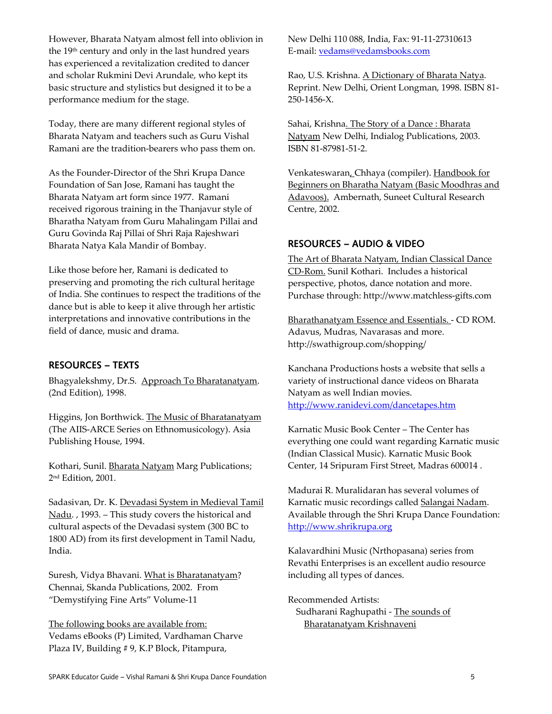However, Bharata Natyam almost fell into oblivion in New Delhi 110 088, India, Fax: 91-11-27310613 the 19th century and only in the last hundred years has experienced a revitalization credited to dancer and scholar Rukmini Devi Arundale, who kept its basic structure and stylistics but designed it to be a performance medium for the stage.

Today, there are many different regional styles of Bharata Natyam and teachers such as Guru Vishal Ramani are the tradition-bearers who pass them on.

As the Founder-Director of the Shri Krupa Dance Foundation of San Jose, Ramani has taught the Bharata Natyam art form since 1977. Ramani received rigorous training in the Thanjavur style of Bharatha Natyam from Guru Mahalingam Pillai and Guru Govinda Raj Pillai of Shri Raja Rajeshwari Bharata Natya Kala Mandir of Bombay.

Like those before her, Ramani is dedicated to preserving and promoting the rich cultural heritage of India. She continues to respect the traditions of the dance but is able to keep it alive through her artistic interpretations and innovative contributions in the field of dance, music and drama.

Bhagyalekshmy, Dr.S. Approach To Bharatanatyam. (2nd Edition), 1998.

Higgins, Jon Borthwick. The Music of Bharatanatyam (The AIIS-ARCE Series on Ethnomusicology). Asia Publishing House, 1994.

Kothari, Sunil. Bharata Natyam Marg Publications; Center, 14 Sripuram First Street, Madras 600014. 2nd Edition, 2001.

Sadasivan, Dr. K. Devadasi System in Medieval Tamil Nadu. , 1993. – This study covers the historical and cultural aspects of the Devadasi system (300 BC to 1800 AD) from its first development in Tamil Nadu, India. Kalavardhini Music (Nrthopasana) series from

Suresh, Vidya Bhavani. What is Bharatanatyam? including all types of dances. Chennai, Skanda Publications, 2002. From "Demystifying Fine Arts" Volume-11 Recommended Artists:

The following books are available from: Bharatanatyam Krishnaveni Vedams eBooks (P) Limited, Vardhaman Charve Plaza IV, Building # 9, K.P Block, Pitampura,

E-mail: [vedams@vedamsbooks.com](mailto:vedams@vedamsbooks.com)

Rao, U.S. Krishna. A Dictionary of Bharata Natya. Reprint. New Delhi, Orient Longman, 1998. ISBN 81- 250-1456-X.

Sahai, Krishna. The Story of a Dance : Bharata Natyam New Delhi, Indialog Publications, 2003. ISBN 81-87981-51-2.

Venkateswaran, Chhaya (compiler). Handbook for Beginners on Bharatha Natyam (Basic Moodhras and Adavoos). Ambernath, Suneet Cultural Research Centre, 2002.

## **RESOURCES – AUDIO & VIDEO**

The Art of Bharata Natyam, Indian Classical Dance CD-Rom. Sunil Kothari. Includes a historical perspective, photos, dance notation and more. Purchase through: http://www.matchless-gifts.com

Bharathanatyam Essence and Essentials. - CD ROM. Adavus, Mudras, Navarasas and more. http://swathigroup.com/shopping/

**RESOURCES – TEXTS** TEXTS **EXECURCES** – TEXTS variety of instructional dance videos on Bharata Natyam as well Indian movies. <http://www.ranidevi.com/dancetapes.htm>

> Karnatic Music Book Center – The Center has everything one could want regarding Karnatic music (Indian Classical Music). Karnatic Music Book

> Madurai R. Muralidaran has several volumes of Karnatic music recordings called Salangai Nadam. Available through the Shri Krupa Dance Foundation: [http://www.shrikrupa.org](http://www.shrikrupa.org/)

Revathi Enterprises is an excellent audio resource

Sudharani Raghupathi - The sounds of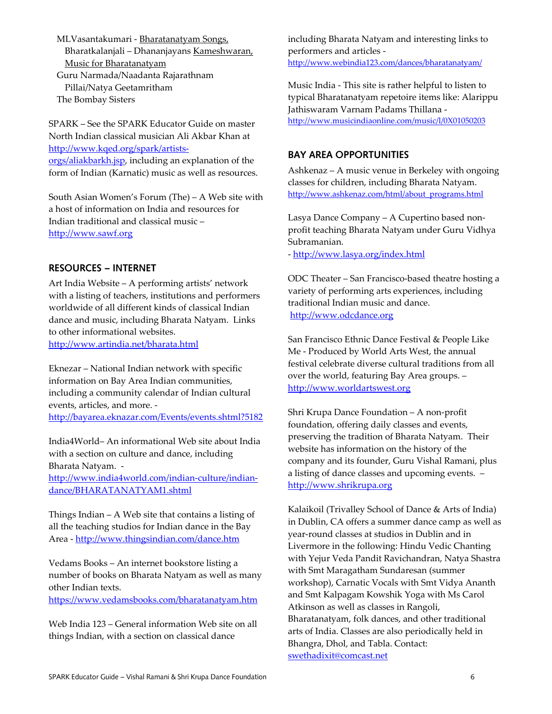MLVasantakumari - Bharatanatyam Songs, Bharatkalanjali – Dhananjayans Kameshwaran, Music for Bharatanatyam Guru Narmada/Naadanta Rajarathnam Pillai/Natya Geetamritham The Bombay Sisters

SPARK – See the SPARK Educator Guide on master North Indian classical musician Ali Akbar Khan at [http://www.kqed.org/spark/artists](http://www.kqed.org/spark/artists-orgs/aliakbarkh.jsp)[orgs/aliakbarkh.jsp,](http://www.kqed.org/spark/artists-orgs/aliakbarkh.jsp) including an explanation of the form of Indian (Karnatic) music as well as resources.

South Asian Women's Forum (The) – A Web site with a host of information on India and resources for Indian traditional and classical music – [http://www.sawf.org](http://www.sawf.org/)

## **RESOURCES – INTERNET**

Art India Website – A performing artists' network with a listing of teachers, institutions and performers worldwide of all different kinds of classical Indian dance and music, including Bharata Natyam. Links to other informational websites. <http://www.artindia.net/bharata.html>

Eknezar – National Indian network with specific information on Bay Area Indian communities, including a community calendar of Indian cultural events, articles, and more. <http://bayarea.eknazar.com/Events/events.shtml?5182>

India4World– An informational Web site about India with a section on culture and dance, including Bharata Natyam. -

[http://www.india4world.com/indian-culture/indian](http://www.india4world.com/indian-culture/indian-dance/BHARATANATYAM1.shtml)[dance/BHARATANATYAM1.shtml](http://www.india4world.com/indian-culture/indian-dance/BHARATANATYAM1.shtml)

Things Indian – A Web site that contains a listing of all the teaching studios for Indian dance in the Bay Area - <http://www.thingsindian.com/dance.htm>

Vedams Books – An internet bookstore listing a number of books on Bharata Natyam as well as many other Indian texts.

<https://www.vedamsbooks.com/bharatanatyam.htm>

Web India 123 – General information Web site on all things Indian, with a section on classical dance

including Bharata Natyam and interesting links to performers and articles <http://www.webindia123.com/dances/bharatanatyam/>

Music India - This site is rather helpful to listen to typical Bharatanatyam repetoire items like: Alarippu Jathiswaram Varnam Padams Thillana <http://www.musicindiaonline.com/music/l/0X01050203>

## **BAY AREA OPPORTUNITIES**

Ashkenaz – A music venue in Berkeley with ongoing classes for children, including Bharata Natyam. [http://www.ashkenaz.com/html/about\\_programs.html](http://www.ashkenaz.com/html/about_programs.html)

Lasya Dance Company – A Cupertino based nonprofit teaching Bharata Natyam under Guru Vidhya Subramanian.

-<http://www.lasya.org/index.html>

ODC Theater – San Francisco-based theatre hosting a variety of performing arts experiences, including traditional Indian music and dance. [http://www.odcdance.org](http://www.odcdance.org/)

San Francisco Ethnic Dance Festival & People Like Me - Produced by World Arts West, the annual festival celebrate diverse cultural traditions from all over the world, featuring Bay Area groups. – [http://www.worldartswest.org](http://www.worldartswest.org /) 

Shri Krupa Dance Foundation – A non-profit foundation, offering daily classes and events, preserving the tradition of Bharata Natyam. Their website has information on the history of the company and its founder, Guru Vishal Ramani, plus a listing of dance classes and upcoming events. – [http://www.shrikrupa.org](http://www.shrikrupa.org/)

Kalaikoil (Trivalley School of Dance & Arts of India) in Dublin, CA offers a summer dance camp as well as year-round classes at studios in Dublin and in Livermore in the following: Hindu Vedic Chanting with Yejur Veda Pandit Ravichandran, Natya Shastra with Smt Maragatham Sundaresan (summer workshop), Carnatic Vocals with Smt Vidya Ananth and Smt Kalpagam Kowshik Yoga with Ms Carol Atkinson as well as classes in Rangoli, Bharatanatyam, folk dances, and other traditional arts of India. Classes are also periodically held in Bhangra, Dhol, and Tabla. Contact: [swethadixit@comcast.net](mailto:swethadixit@comcast.net)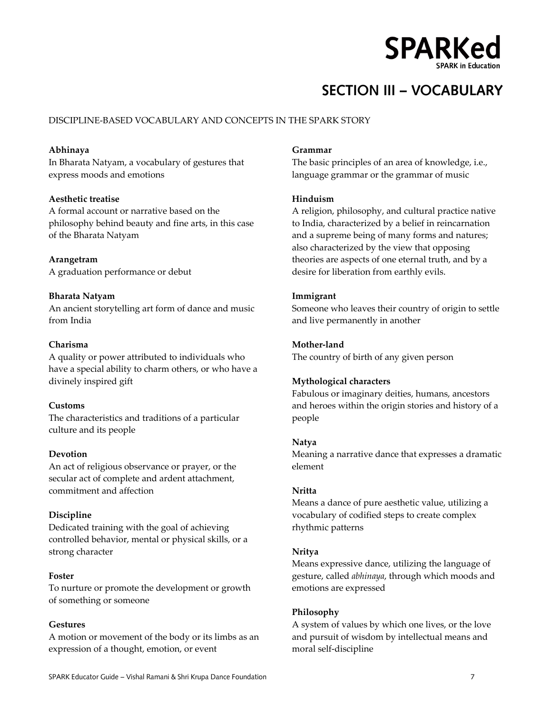

## **SECTION III – VOCABULARY**

## <span id="page-6-0"></span>DISCIPLINE-BASED VOCABULARY AND CONCEPTS IN THE SPARK STORY

## **Abhinaya Grammar**

In Bharata Natyam, a vocabulary of gestures that express moods and emotions

## Aesthetic treatise **Hinduism**

A formal account or narrative based on the philosophy behind beauty and fine arts, in this case of the Bharata Natyam

**Arangetram** A graduation performance or debut

## **Bharata Natyam Immigrant**

An ancient storytelling art form of dance and music from India

A quality or power attributed to individuals who The country of birth of any given person have a special ability to charm others, or who have a divinely inspired gift **Mythological characters**

## **Customs**

The characteristics and traditions of a particular culture and its people

An act of religious observance or prayer, or the element secular act of complete and ardent attachment, commitment and affection **Nritta** 

## **Discipline**

Dedicated training with the goal of achieving controlled behavior, mental or physical skills, or a strong character **Nritya** 

## **Foster**

To nurture or promote the development or growth of something or someone

A motion or movement of the body or its limbs as an expression of a thought, emotion, or event

The basic principles of an area of knowledge, i.e., language grammar or the grammar of music

A religion, philosophy, and cultural practice native to India, characterized by a belief in reincarnation and a supreme being of many forms and natures; also characterized by the view that opposing theories are aspects of one eternal truth, and by a desire for liberation from earthly evils.

Someone who leaves their country of origin to settle and live permanently in another

## **Charisma Mother-land**

Fabulous or imaginary deities, humans, ancestors and heroes within the origin stories and history of a people

## **Natya**

**Devotion Devotion Meaning a narrative dance that expresses a dramatic** 

Means a dance of pure aesthetic value, utilizing a vocabulary of codified steps to create complex rhythmic patterns

Means expressive dance, utilizing the language of gesture, called *abhinaya*, through which moods and emotions are expressed

## **Philosophy**

**Gestures A** system of values by which one lives, or the love and pursuit of wisdom by intellectual means and moral self-discipline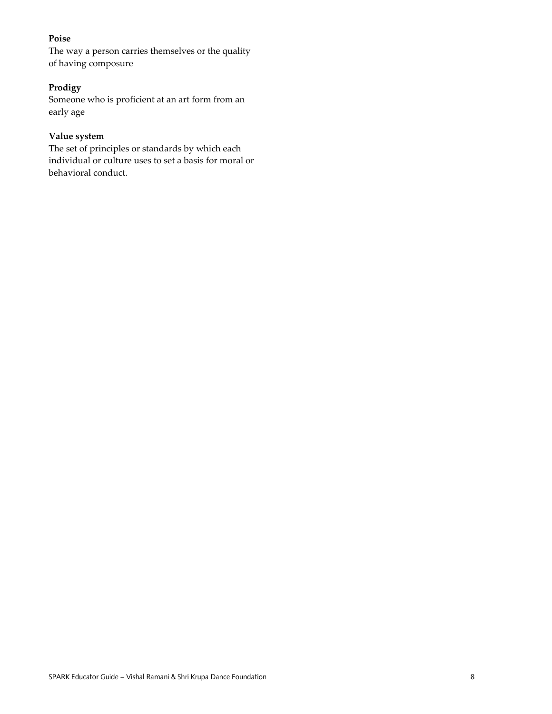## **Poise**

The way a person carries themselves or the quality of having composure

## **Prodigy**

Someone who is proficient at an art form from an early age

## **Value system**

The set of principles or standards by which each individual or culture uses to set a basis for moral or behavioral conduct.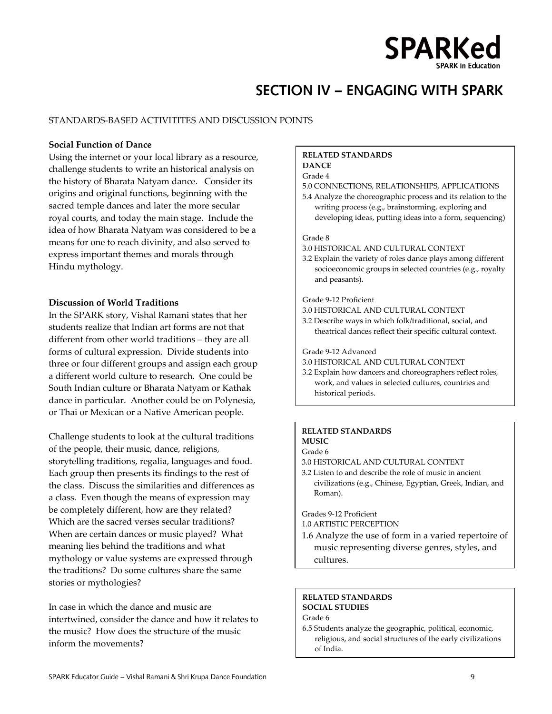# **SPARKed**

## **SECTION IV – ENGAGING WITH SPARK**

## <span id="page-8-0"></span>STANDARDS-BASED ACTIVITITES AND DISCUSSION POINTS

## **Social Function of Dance**

Using the internet or your local library as a resource, challenge students to write an historical analysis on the history of Bharata Natyam dance. Consider its origins and original functions, beginning with the sacred temple dances and later the more secular royal courts, and today the main stage. Include the idea of how Bharata Natyam was considered to be a means for one to reach divinity, and also served to express important themes and morals through Hindu mythology.

## **Discussion of World Traditions**

In the SPARK story, Vishal Ramani states that her students realize that Indian art forms are not that different from other world traditions – they are all forms of cultural expression. Divide students into three or four different groups and assign each group a different world culture to research. One could be South Indian culture or Bharata Natyam or Kathak dance in particular. Another could be on Polynesia, or Thai or Mexican or a Native American people.

Challenge students to look at the cultural traditions of the people, their music, dance, religions, storytelling traditions, regalia, languages and food. Each group then presents its findings to the rest of the class. Discuss the similarities and differences as a class. Even though the means of expression may be completely different, how are they related? Which are the sacred verses secular traditions? When are certain dances or music played? What meaning lies behind the traditions and what mythology or value systems are expressed through the traditions? Do some cultures share the same stories or mythologies?

In case in which the dance and music are intertwined, consider the dance and how it relates to the music? How does the structure of the music inform the movements?

## **RELATED STANDARDS**

## **DANCE**

## Grade 4

- 5.0 CONNECTIONS, RELATIONSHIPS, APPLICATIONS
- 5.4 Analyze the choreographic process and its relation to the writing process (e.g., brainstorming, exploring and developing ideas, putting ideas into a form, sequencing)

## Grade 8

## 3.0 HISTORICAL AND CULTURAL CONTEXT

3.2 Explain the variety of roles dance plays among different socioeconomic groups in selected countries (e.g., royalty and peasants).

## Grade 9-12 Proficient

- 3.0 HISTORICAL AND CULTURAL CONTEXT
- 3.2 Describe ways in which folk/traditional, social, and theatrical dances reflect their specific cultural context.

## Grade 9-12 Advanced

- 3.0 HISTORICAL AND CULTURAL CONTEXT
- 3.2 Explain how dancers and choreographers reflect roles, work, and values in selected cultures, countries and historical periods.

## **RELATED STANDARDS MUSIC**

### Grade 6

- 3.0 HISTORICAL AND CULTURAL CONTEXT
- 3.2 Listen to and describe the role of music in ancient civilizations (e.g., Chinese, Egyptian, Greek, Indian, and Roman).

Grades 9-12 Proficient

- 1.0 ARTISTIC PERCEPTION
- 1.6 Analyze the use of form in a varied repertoire of music representing diverse genres, styles, and cultures.

## **RELATED STANDARDS SOCIAL STUDIES**

## Grade 6

6.5 Students analyze the geographic, political, economic, religious, and social structures of the early civilizations of India.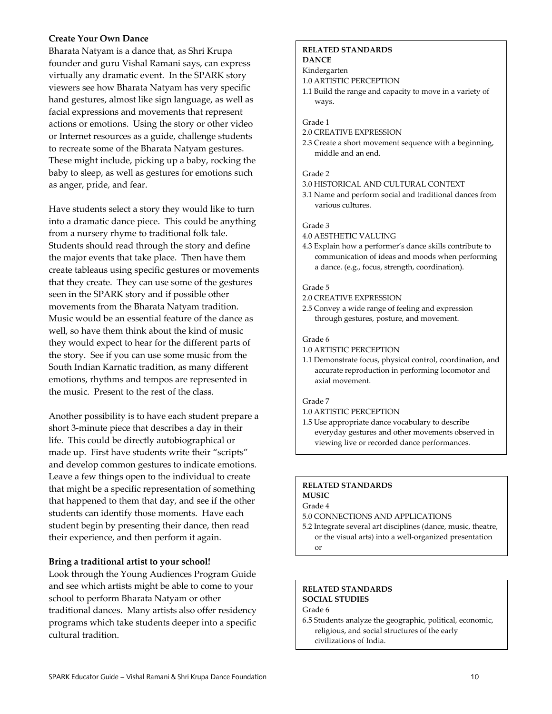## **Create Your Own Dance**

Bharata Natyam is a dance that, as Shri Krupa founder and guru Vishal Ramani says, can express virtually any dramatic event. In the SPARK story viewers see how Bharata Natyam has very specific hand gestures, almost like sign language, as well as facial expressions and movements that represent actions or emotions. Using the story or other video or Internet resources as a guide, challenge students to recreate some of the Bharata Natyam gestures. These might include, picking up a baby, rocking the baby to sleep, as well as gestures for emotions such as anger, pride, and fear.

Have students select a story they would like to turn into a dramatic dance piece. This could be anything from a nursery rhyme to traditional folk tale. Students should read through the story and define the major events that take place. Then have them create tableaus using specific gestures or movements that they create. They can use some of the gestures seen in the SPARK story and if possible other movements from the Bharata Natyam tradition. Music would be an essential feature of the dance as well, so have them think about the kind of music they would expect to hear for the different parts of the story. See if you can use some music from the South Indian Karnatic tradition, as many different emotions, rhythms and tempos are represented in the music. Present to the rest of the class.

Another possibility is to have each student prepare a short 3-minute piece that describes a day in their life. This could be directly autobiographical or made up. First have students write their "scripts" and develop common gestures to indicate emotions. Leave a few things open to the individual to create that might be a specific representation of something that happened to them that day, and see if the other students can identify those moments. Have each student begin by presenting their dance, then read their experience, and then perform it again.

## **Bring a traditional artist to your school!**

Look through the Young Audiences Program Guide and see which artists might be able to come to your school to perform Bharata Natyam or other traditional dances. Many artists also offer residency programs which take students deeper into a specific cultural tradition.

## **RELATED STANDARDS DANCE**

## Kindergarten

1.0 ARTISTIC PERCEPTION

1.1 Build the range and capacity to move in a variety of ways.

## Grade 1

- 2.0 CREATIVE EXPRESSION
- 2.3 Create a short movement sequence with a beginning, middle and an end.

## Grade 2

## 3.0 HISTORICAL AND CULTURAL CONTEXT

3.1 Name and perform social and traditional dances from various cultures.

## Grade 3

## 4.0 AESTHETIC VALUING

4.3 Explain how a performer's dance skills contribute to communication of ideas and moods when performing a dance. (e.g., focus, strength, coordination).

## Grade 5

- 2.0 CREATIVE EXPRESSION
- 2.5 Convey a wide range of feeling and expression through gestures, posture, and movement.

## Grade 6

- 1.0 ARTISTIC PERCEPTION
- 1.1 Demonstrate focus, physical control, coordination, and accurate reproduction in performing locomotor and axial movement.

## Grade 7

- 1.0 ARTISTIC PERCEPTION
- 1.5 Use appropriate dance vocabulary to describe everyday gestures and other movements observed in viewing live or recorded dance performances.

## **RELATED STANDARDS MUSIC**

Grade 4

- 5.0 CONNECTIONS AND APPLICATIONS
- 5.2 Integrate several art disciplines (dance, music, theatre, or the visual arts) into a well-organized presentation or

## **RELATED STANDARDS SOCIAL STUDIES**

Grade 6

6.5 Students analyze the geographic, political, economic, religious, and social structures of the early civilizations of India.